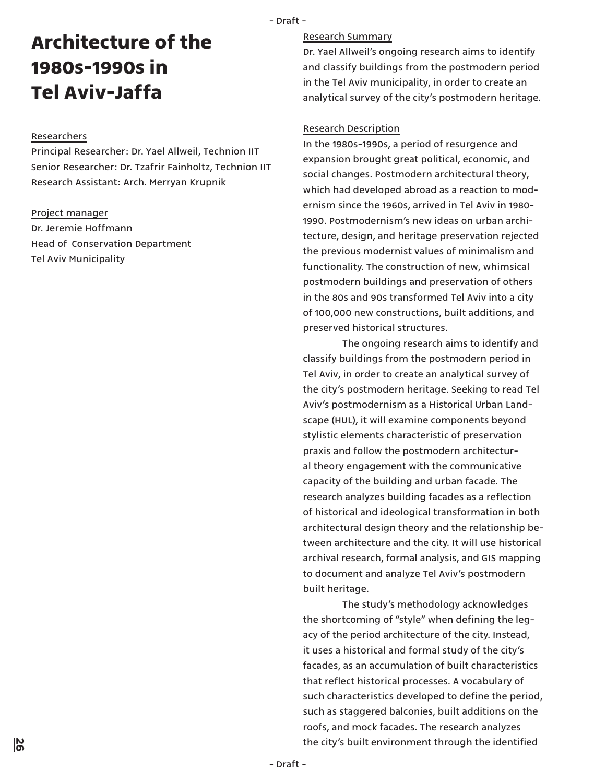- Draft -

# **Architecture of the 1980s-1990s in Tel Aviv-Jaffa**

## Researchers

Principal Researcher: Dr. Yael Allweil, Technion IIT Senior Researcher: Dr. Tzafrir Fainholtz, Technion IIT Research Assistant: Arch. Merryan Krupnik

#### Project manager

Dr. Jeremie Hoffmann Head of Conservation Department Tel Aviv Municipality

## Research Summary

Dr. Yael Allweil's ongoing research aims to identify and classify buildings from the postmodern period in the Tel Aviv municipality, in order to create an analytical survey of the city's postmodern heritage.

### Research Description

In the 1980s-1990s, a period of resurgence and expansion brought great political, economic, and social changes. Postmodern architectural theory, which had developed abroad as a reaction to modernism since the 1960s, arrived in Tel Aviv in 1980- 1990. Postmodernism's new ideas on urban architecture, design, and heritage preservation rejected the previous modernist values of minimalism and functionality. The construction of new, whimsical postmodern buildings and preservation of others in the 80s and 90s transformed Tel Aviv into a city of 100,000 new constructions, built additions, and preserved historical structures.

The ongoing research aims to identify and classify buildings from the postmodern period in Tel Aviv, in order to create an analytical survey of the city's postmodern heritage. Seeking to read Tel Aviv's postmodernism as a Historical Urban Landscape (HUL), it will examine components beyond stylistic elements characteristic of preservation praxis and follow the postmodern architectural theory engagement with the communicative capacity of the building and urban facade. The research analyzes building facades as a reflection of historical and ideological transformation in both architectural design theory and the relationship between architecture and the city. It will use historical archival research, formal analysis, and GIS mapping to document and analyze Tel Aviv's postmodern built heritage.

The study's methodology acknowledges the shortcoming of "style" when defining the legacy of the period architecture of the city. Instead, it uses a historical and formal study of the city's facades, as an accumulation of built characteristics that reflect historical processes. A vocabulary of such characteristics developed to define the period, such as staggered balconies, built additions on the roofs, and mock facades. The research analyzes the city's built environment through the identified

- Draft -